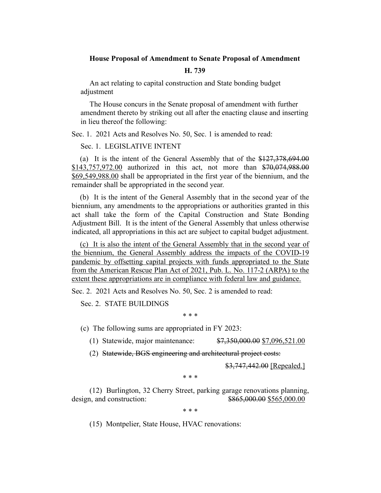## **House Proposal of Amendment to Senate Proposal of Amendment**

### **H. 739**

An act relating to capital construction and State bonding budget adjustment

The House concurs in the Senate proposal of amendment with further amendment thereto by striking out all after the enacting clause and inserting in lieu thereof the following:

Sec. 1. 2021 Acts and Resolves No. 50, Sec. 1 is amended to read:

## Sec. 1. LEGISLATIVE INTENT

(a) It is the intent of the General Assembly that of the \$127,378,694.00 \$143,757,972.00 authorized in this act, not more than \$70,074,988.00 \$69,549,988.00 shall be appropriated in the first year of the biennium, and the remainder shall be appropriated in the second year.

(b) It is the intent of the General Assembly that in the second year of the biennium, any amendments to the appropriations or authorities granted in this act shall take the form of the Capital Construction and State Bonding Adjustment Bill. It is the intent of the General Assembly that unless otherwise indicated, all appropriations in this act are subject to capital budget adjustment.

(c) It is also the intent of the General Assembly that in the second year of the biennium, the General Assembly address the impacts of the COVID-19 pandemic by offsetting capital projects with funds appropriated to the State from the American Rescue Plan Act of 2021, Pub. L. No. 117-2 (ARPA) to the extent these appropriations are in compliance with federal law and guidance.

Sec. 2. 2021 Acts and Resolves No. 50, Sec. 2 is amended to read:

Sec. 2. STATE BUILDINGS

\* \* \*

(c) The following sums are appropriated in FY 2023:

(1) Statewide, major maintenance: \$7,350,000.00 \$7,096,521.00

(2) Statewide, BGS engineering and architectural project costs:

\$3,747,442.00 [Repealed.]

\* \* \*

(12) Burlington, 32 Cherry Street, parking garage renovations planning, design, and construction:  $$865,000.00 \ $565,000.00$ 

\* \* \*

(15) Montpelier, State House, HVAC renovations: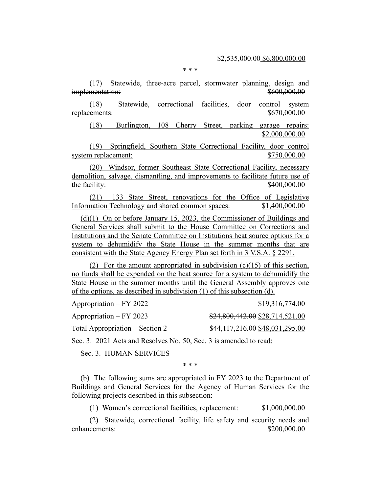#### \* \* \*

(17) Statewide, three-acre parcel, stormwater planning, design and implementation:  $$600,000.00$ 

(18) Statewide, correctional facilities, door control system replacements:  $$670,000.00$ 

(18) Burlington, 108 Cherry Street, parking garage repairs: \$2,000,000.00

(19) Springfield, Southern State Correctional Facility, door control system replacement:  $$750,000.00$ 

(20) Windsor, former Southeast State Correctional Facility, necessary demolition, salvage, dismantling, and improvements to facilitate future use of the facility:  $$400,000.00$ 

(21) 133 State Street, renovations for the Office of Legislative Information Technology and shared common spaces: \$1,400,000.00

(d)(1) On or before January 15, 2023, the Commissioner of Buildings and General Services shall submit to the House Committee on Corrections and Institutions and the Senate Committee on Institutions heat source options for a system to dehumidify the State House in the summer months that are consistent with the State Agency Energy Plan set forth in 3 V.S.A. § 2291.

(2) For the amount appropriated in subdivision  $(c)(15)$  of this section, no funds shall be expended on the heat source for a system to dehumidify the State House in the summer months until the General Assembly approves one of the options, as described in subdivision (1) of this subsection (d).

Appropriation – FY 2022 \$19,316,774.00

Appropriation – FY 2023 \$24,800,442.00 \$28,714,521.00

Total Appropriation – Section 2  $$44,117,216.00$  \$48,031,295.00

Sec. 3. 2021 Acts and Resolves No. 50, Sec. 3 is amended to read:

Sec. 3. HUMAN SERVICES

\* \* \*

(b) The following sums are appropriated in FY 2023 to the Department of Buildings and General Services for the Agency of Human Services for the following projects described in this subsection:

(1) Women's correctional facilities, replacement: \$1,000,000.00

(2) Statewide, correctional facility, life safety and security needs and enhancements:  $$200,000,00$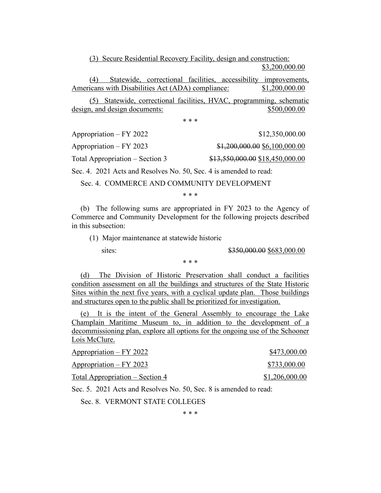(3) Secure Residential Recovery Facility, design and construction:

\$3,200,000.00

(4) Statewide, correctional facilities, accessibility improvements, Americans with Disabilities Act (ADA) compliance: \$1,200,000.00

(5) Statewide, correctional facilities, HVAC, programming, schematic design, and design documents:  $$500,000.00$ 

\* \* \*

Appropriation – FY 2022 \$12,350,000.00

Appropriation – FY 2023 \$1,200,000.00 \$6,100,000.00 Total Appropriation – Section 3 \$13,550,000.00 \$18,450,000.00

Sec. 4. 2021 Acts and Resolves No. 50, Sec. 4 is amended to read:

Sec. 4. COMMERCE AND COMMUNITY DEVELOPMENT

\* \* \*

(b) The following sums are appropriated in FY 2023 to the Agency of Commerce and Community Development for the following projects described in this subsection:

(1) Major maintenance at statewide historic

sites: \$350,000.00 \$683,000.00

\* \* \*

(d) The Division of Historic Preservation shall conduct a facilities condition assessment on all the buildings and structures of the State Historic Sites within the next five years, with a cyclical update plan. Those buildings and structures open to the public shall be prioritized for investigation.

(e) It is the intent of the General Assembly to encourage the Lake Champlain Maritime Museum to, in addition to the development of a decommissioning plan, explore all options for the ongoing use of the Schooner Lois McClure.

| Appropriation – FY 2022         | \$473,000.00   |
|---------------------------------|----------------|
| $Appropriation - FY 2023$       | \$733,000.00   |
| Total Appropriation – Section 4 | \$1,206,000.00 |

Sec. 5. 2021 Acts and Resolves No. 50, Sec. 8 is amended to read:

Sec. 8. VERMONT STATE COLLEGES

\* \* \*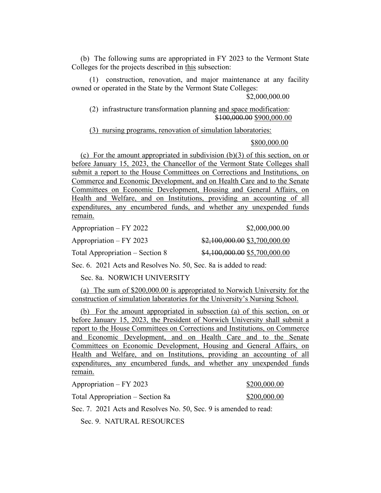(b) The following sums are appropriated in FY 2023 to the Vermont State Colleges for the projects described in this subsection:

(1) construction, renovation, and major maintenance at any facility owned or operated in the State by the Vermont State Colleges:

\$2,000,000.00

(2) infrastructure transformation planning and space modification: \$100,000.00 \$900,000.00

(3) nursing programs, renovation of simulation laboratories:

\$800,000.00

(c) For the amount appropriated in subdivision  $(b)(3)$  of this section, on or before January 15, 2023, the Chancellor of the Vermont State Colleges shall submit a report to the House Committees on Corrections and Institutions, on Commerce and Economic Development, and on Health Care and to the Senate Committees on Economic Development, Housing and General Affairs, on Health and Welfare, and on Institutions, providing an accounting of all expenditures, any encumbered funds, and whether any unexpended funds remain.

Appropriation – FY 2022 \$2,000,000.00

Appropriation – FY 2023 \$2,100,000.00 \$3,700,000.00 Total Appropriation – Section 8  $$4,100,000.00 \ $5,700,000.00$ 

Sec. 6. 2021 Acts and Resolves No. 50, Sec. 8a is added to read:

Sec. 8a. NORWICH UNIVERSITY

(a) The sum of \$200,000.00 is appropriated to Norwich University for the construction of simulation laboratories for the University's Nursing School.

(b) For the amount appropriated in subsection (a) of this section, on or before January 15, 2023, the President of Norwich University shall submit a report to the House Committees on Corrections and Institutions, on Commerce and Economic Development, and on Health Care and to the Senate Committees on Economic Development, Housing and General Affairs, on Health and Welfare, and on Institutions, providing an accounting of all expenditures, any encumbered funds, and whether any unexpended funds remain.

Appropriation – FY 2023 \$200,000.00

Total Appropriation – Section 8a  $$200,000.00$ 

Sec. 7. 2021 Acts and Resolves No. 50, Sec. 9 is amended to read:

Sec. 9. NATURAL RESOURCES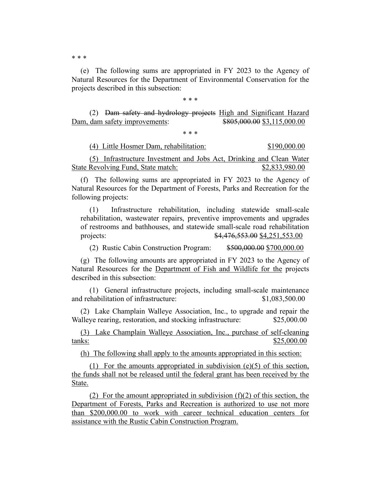\* \* \*

(e) The following sums are appropriated in FY 2023 to the Agency of Natural Resources for the Department of Environmental Conservation for the projects described in this subsection:

\* \* \*

(2) Dam safety and hydrology projects High and Significant Hazard Dam, dam safety improvements: \$805,000.00 \$3,115,000.00

\* \* \*

(4) Little Hosmer Dam, rehabilitation: \$190,000.00

(5) Infrastructure Investment and Jobs Act, Drinking and Clean Water State Revolving Fund, State match: \$2,833,980.00

(f) The following sums are appropriated in FY 2023 to the Agency of Natural Resources for the Department of Forests, Parks and Recreation for the following projects:

(1) Infrastructure rehabilitation, including statewide small-scale rehabilitation, wastewater repairs, preventive improvements and upgrades of restrooms and bathhouses, and statewide small-scale road rehabilitation projects: \$4,476,553.00 \$4,251,553.00

(2) Rustic Cabin Construction Program: \$500,000.00 \$700,000.00

(g) The following amounts are appropriated in FY 2023 to the Agency of Natural Resources for the Department of Fish and Wildlife for the projects described in this subsection:

(1) General infrastructure projects, including small-scale maintenance and rehabilitation of infrastructure:  $$1,083,500.00$ 

(2) Lake Champlain Walleye Association, Inc., to upgrade and repair the Walleye rearing, restoration, and stocking infrastructure: \$25,000.00

(3) Lake Champlain Walleye Association, Inc., purchase of self-cleaning tanks: \$25,000.00

(h) The following shall apply to the amounts appropriated in this section:

(1) For the amounts appropriated in subdivision  $(e)(5)$  of this section, the funds shall not be released until the federal grant has been received by the State.

(2) For the amount appropriated in subdivision  $(f)(2)$  of this section, the Department of Forests, Parks and Recreation is authorized to use not more than \$200,000.00 to work with career technical education centers for assistance with the Rustic Cabin Construction Program.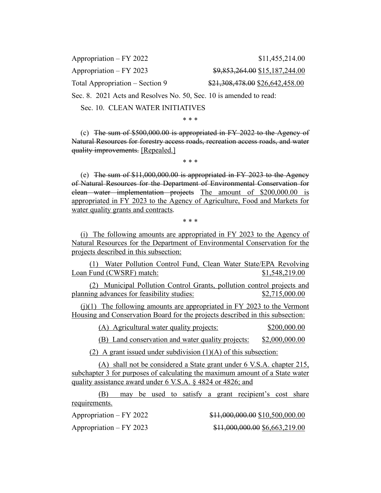Appropriation – FY 2022 \$11,455,214.00

Total Appropriation – Section 9  $$21,308,478.00$  \$26,642,458.00

Appropriation – FY 2023  $$9,853,264.00 \text{ } $15,187,244.00$ 

Sec. 8. 2021 Acts and Resolves No. 50, Sec. 10 is amended to read:

Sec. 10. CLEAN WATER INITIATIVES

\* \* \*

(c) The sum of \$500,000.00 is appropriated in FY 2022 to the Agency of Natural Resources for forestry access roads, recreation access roads, and water quality improvements. [Repealed.]

\* \* \*

(e) The sum of \$11,000,000.00 is appropriated in FY 2023 to the Agency of Natural Resources for the Department of Environmental Conservation for clean water implementation projects The amount of \$200,000.00 is appropriated in FY 2023 to the Agency of Agriculture, Food and Markets for water quality grants and contracts.

\* \* \*

(i) The following amounts are appropriated in FY 2023 to the Agency of Natural Resources for the Department of Environmental Conservation for the projects described in this subsection:

(1) Water Pollution Control Fund, Clean Water State/EPA Revolving Loan Fund (CWSRF) match:  $$1,548,219.00$ 

(2) Municipal Pollution Control Grants, pollution control projects and planning advances for feasibility studies: \$2,715,000.00

 $(i)(1)$  The following amounts are appropriated in FY 2023 to the Vermont Housing and Conservation Board for the projects described in this subsection:

(A) Agricultural water quality projects: \$200,000.00

(B) Land conservation and water quality projects: \$2,000,000.00

(2) A grant issued under subdivision  $(1)(A)$  of this subsection:

(A) shall not be considered a State grant under 6 V.S.A. chapter 215, subchapter 3 for purposes of calculating the maximum amount of a State water quality assistance award under 6 V.S.A. § 4824 or 4826; and

(B) may be used to satisfy a grant recipient's cost share requirements.

Appropriation – FY 2022  $\qquad 311,000,000.00$  \$10,500,000.00

Appropriation – FY 2023 \$11,000,000.00 \$6,663,219.00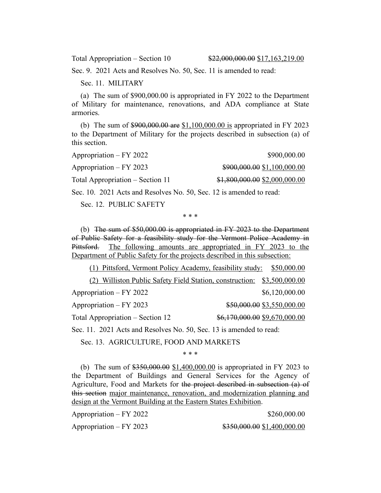Sec. 9. 2021 Acts and Resolves No. 50, Sec. 11 is amended to read:

Sec. 11. MILITARY

(a) The sum of \$900,000.00 is appropriated in FY 2022 to the Department of Military for maintenance, renovations, and ADA compliance at State armories.

(b) The sum of \$900,000.00 are \$1,100,000.00 is appropriated in FY 2023 to the Department of Military for the projects described in subsection (a) of this section.

| Appropriation – FY 2022          | \$900,000.00                  |
|----------------------------------|-------------------------------|
| Appropriation – FY 2023          | \$900,000.00 \$1,100,000.00   |
| Total Appropriation – Section 11 | \$1,800,000.00 \$2,000,000.00 |
|                                  |                               |

Sec. 10. 2021 Acts and Resolves No. 50, Sec. 12 is amended to read:

Sec. 12. PUBLIC SAFETY

\* \* \*

(b) The sum of \$50,000.00 is appropriated in FY 2023 to the Department of Public Safety for a feasibility study for the Vermont Police Academy in Pittsford. The following amounts are appropriated in FY 2023 to the Department of Public Safety for the projects described in this subsection:

(1) Pittsford, Vermont Policy Academy, feasibility study: \$50,000.00 (2) Williston Public Safety Field Station, construction: \$3,500,000.00 Appropriation – FY 2022 \$6,120,000.00 Appropriation – FY 2023 \$50,000.00 \$3,550,000.00 Total Appropriation – Section 12  $\frac{$6,170,000.00}{$9,670,000.00}$ 

Sec. 11. 2021 Acts and Resolves No. 50, Sec. 13 is amended to read:

Sec. 13. AGRICULTURE, FOOD AND MARKETS

\* \* \*

(b) The sum of \$350,000.00 \$1,400,000.00 is appropriated in FY 2023 to the Department of Buildings and General Services for the Agency of Agriculture, Food and Markets for the project described in subsection (a) of this section major maintenance, renovation, and modernization planning and design at the Vermont Building at the Eastern States Exhibition.

| Appropriation – FY 2022 | \$260,000.00                |
|-------------------------|-----------------------------|
| Appropriation – FY 2023 | \$350,000.00 \$1,400,000.00 |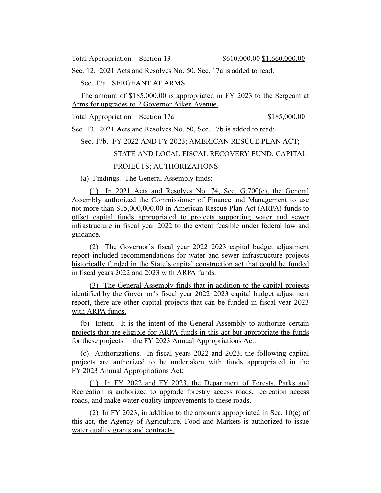Total Appropriation – Section 13  $$610,000.00 $1,660,000.00$ 

Sec. 12. 2021 Acts and Resolves No. 50, Sec. 17a is added to read:

Sec. 17a. SERGEANT AT ARMS

The amount of \$185,000.00 is appropriated in FY 2023 to the Sergeant at Arms for upgrades to 2 Governor Aiken Avenue.

Total Appropriation – Section 17a  $$185,000.00$ 

Sec. 13. 2021 Acts and Resolves No. 50, Sec. 17b is added to read:

Sec. 17b. FY 2022 AND FY 2023; AMERICAN RESCUE PLAN ACT; STATE AND LOCAL FISCAL RECOVERY FUND; CAPITAL PROJECTS; AUTHORIZATIONS

(a) Findings. The General Assembly finds:

(1) In 2021 Acts and Resolves No. 74, Sec. G.700(c), the General Assembly authorized the Commissioner of Finance and Management to use not more than \$15,000,000.00 in American Rescue Plan Act (ARPA) funds to offset capital funds appropriated to projects supporting water and sewer infrastructure in fiscal year 2022 to the extent feasible under federal law and guidance.

(2) The Governor's fiscal year 2022–2023 capital budget adjustment report included recommendations for water and sewer infrastructure projects historically funded in the State's capital construction act that could be funded in fiscal years 2022 and 2023 with ARPA funds.

(3) The General Assembly finds that in addition to the capital projects identified by the Governor's fiscal year 2022–2023 capital budget adjustment report, there are other capital projects that can be funded in fiscal year 2023 with ARPA funds.

(b) Intent. It is the intent of the General Assembly to authorize certain projects that are eligible for ARPA funds in this act but appropriate the funds for these projects in the FY 2023 Annual Appropriations Act.

(c) Authorizations. In fiscal years 2022 and 2023, the following capital projects are authorized to be undertaken with funds appropriated in the FY 2023 Annual Appropriations Act:

(1) In FY 2022 and FY 2023, the Department of Forests, Parks and Recreation is authorized to upgrade forestry access roads, recreation access roads, and make water quality improvements to these roads.

(2) In FY 2023, in addition to the amounts appropriated in Sec. 10(e) of this act, the Agency of Agriculture, Food and Markets is authorized to issue water quality grants and contracts.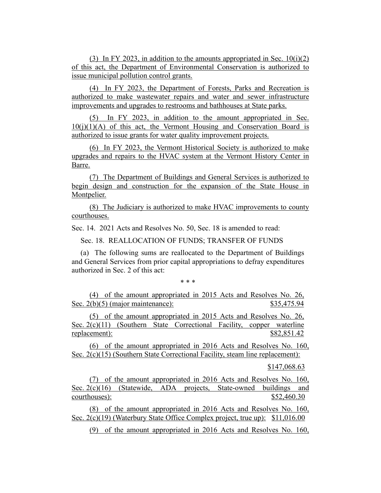(3) In FY 2023, in addition to the amounts appropriated in Sec.  $10(i)(2)$ of this act, the Department of Environmental Conservation is authorized to issue municipal pollution control grants.

(4) In FY 2023, the Department of Forests, Parks and Recreation is authorized to make wastewater repairs and water and sewer infrastructure improvements and upgrades to restrooms and bathhouses at State parks.

(5) In FY 2023, in addition to the amount appropriated in Sec.  $10(j)(1)(A)$  of this act, the Vermont Housing and Conservation Board is authorized to issue grants for water quality improvement projects.

(6) In FY 2023, the Vermont Historical Society is authorized to make upgrades and repairs to the HVAC system at the Vermont History Center in Barre.

(7) The Department of Buildings and General Services is authorized to begin design and construction for the expansion of the State House in Montpelier.

(8) The Judiciary is authorized to make HVAC improvements to county courthouses.

Sec. 14. 2021 Acts and Resolves No. 50, Sec. 18 is amended to read:

Sec. 18. REALLOCATION OF FUNDS; TRANSFER OF FUNDS

(a) The following sums are reallocated to the Department of Buildings and General Services from prior capital appropriations to defray expenditures authorized in Sec. 2 of this act:

\* \* \*

(4) of the amount appropriated in 2015 Acts and Resolves No. 26, Sec. 2(b)(5) (major maintenance): \$35,475.94

(5) of the amount appropriated in 2015 Acts and Resolves No. 26, Sec. 2(c)(11) (Southern State Correctional Facility, copper waterline replacement):  $$82,851.42$ 

(6) of the amount appropriated in 2016 Acts and Resolves No. 160, Sec. 2(c)(15) (Southern State Correctional Facility, steam line replacement):

\$147,068.63

(7) of the amount appropriated in 2016 Acts and Resolves No. 160, Sec. 2(c)(16) (Statewide, ADA projects, State-owned buildings and courthouses):  $$52,460.30$ 

(8) of the amount appropriated in 2016 Acts and Resolves No. 160, Sec. 2(c)(19) (Waterbury State Office Complex project, true up): \$11,016.00

(9) of the amount appropriated in 2016 Acts and Resolves No. 160,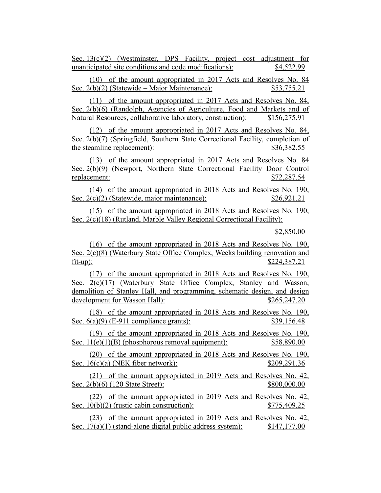Sec. 13(c)(2) (Westminster, DPS Facility, project cost adjustment for unanticipated site conditions and code modifications): \$4,522.99

(10) of the amount appropriated in 2017 Acts and Resolves No. 84 Sec. 2(b)(2) (Statewide – Major Maintenance): \$53,755.21

(11) of the amount appropriated in 2017 Acts and Resolves No. 84, Sec. 2(b)(6) (Randolph, Agencies of Agriculture, Food and Markets and of Natural Resources, collaborative laboratory, construction): \$156,275.91

(12) of the amount appropriated in 2017 Acts and Resolves No. 84, Sec. 2(b)(7) (Springfield, Southern State Correctional Facility, completion of the steamline replacement):  $$36,382.55$ 

(13) of the amount appropriated in 2017 Acts and Resolves No. 84 Sec. 2(b)(9) (Newport, Northern State Correctional Facility Door Control replacement: \$72,287.54

(14) of the amount appropriated in 2018 Acts and Resolves No. 190, Sec. 2(c)(2) (Statewide, major maintenance):  $$26,921.21$ 

(15) of the amount appropriated in 2018 Acts and Resolves No. 190, Sec. 2(c)(18) (Rutland, Marble Valley Regional Correctional Facility):

\$2,850.00

(16) of the amount appropriated in 2018 Acts and Resolves No. 190, Sec. 2(c)(8) (Waterbury State Office Complex, Weeks building renovation and fit-up): \$224,387.21

(17) of the amount appropriated in 2018 Acts and Resolves No. 190, Sec. 2(c)(17) (Waterbury State Office Complex, Stanley and Wasson, demolition of Stanley Hall, and programming, schematic design, and design development for Wasson Hall):  $$265,247.20$ 

(18) of the amount appropriated in 2018 Acts and Resolves No. 190, Sec. 6(a)(9) (E-911 compliance grants): \$39,156.48

(19) of the amount appropriated in 2018 Acts and Resolves No. 190, Sec.  $11(e)(1)(B)$  (phosphorous removal equipment):  $$58,890.00$ 

(20) of the amount appropriated in 2018 Acts and Resolves No. 190, Sec. 16(c)(a) (NEK fiber network): \$209,291.36

(21) of the amount appropriated in 2019 Acts and Resolves No. 42, Sec. 2(b)(6) (120 State Street): \$800,000.00

(22) of the amount appropriated in 2019 Acts and Resolves No. 42, Sec.  $10(b)(2)$  (rustic cabin construction):  $$775,409.25$ 

(23) of the amount appropriated in 2019 Acts and Resolves No. 42, Sec. 17(a)(1) (stand-alone digital public address system): \$147,177.00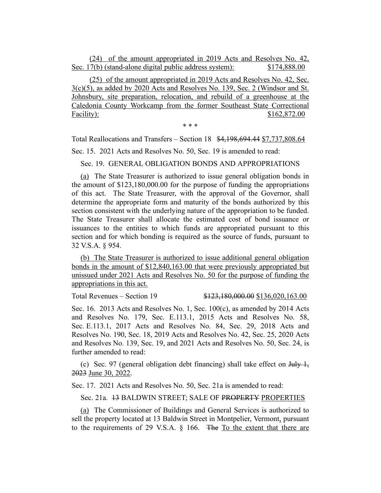(24) of the amount appropriated in 2019 Acts and Resolves No. 42, Sec. 17(b) (stand-alone digital public address system): \$174,888.00

(25) of the amount appropriated in 2019 Acts and Resolves No. 42, Sec.  $3(c)(5)$ , as added by 2020 Acts and Resolves No. 139, Sec. 2 (Windsor and St. Johnsbury, site preparation, relocation, and rebuild of a greenhouse at the Caledonia County Workcamp from the former Southeast State Correctional Facility): \$162,872.00

\* \* \*

Total Reallocations and Transfers – Section 18 \$4,198,694.44 \$7,737,808.64 Sec. 15. 2021 Acts and Resolves No. 50, Sec. 19 is amended to read:

Sec. 19. GENERAL OBLIGATION BONDS AND APPROPRIATIONS

(a) The State Treasurer is authorized to issue general obligation bonds in the amount of \$123,180,000.00 for the purpose of funding the appropriations of this act. The State Treasurer, with the approval of the Governor, shall determine the appropriate form and maturity of the bonds authorized by this section consistent with the underlying nature of the appropriation to be funded. The State Treasurer shall allocate the estimated cost of bond issuance or issuances to the entities to which funds are appropriated pursuant to this section and for which bonding is required as the source of funds, pursuant to 32 V.S.A. § 954.

(b) The State Treasurer is authorized to issue additional general obligation bonds in the amount of \$12,840,163.00 that were previously appropriated but unissued under 2021 Acts and Resolves No. 50 for the purpose of funding the appropriations in this act.

Total Revenues – Section 19 \$123,180,000.00 \$136,020,163.00

Sec. 16. 2013 Acts and Resolves No. 1, Sec. 100(c), as amended by 2014 Acts and Resolves No. 179, Sec. E.113.1, 2015 Acts and Resolves No. 58, Sec. E.113.1, 2017 Acts and Resolves No. 84, Sec. 29, 2018 Acts and Resolves No. 190, Sec. 18, 2019 Acts and Resolves No. 42, Sec. 25, 2020 Acts and Resolves No. 139, Sec. 19, and 2021 Acts and Resolves No. 50, Sec. 24, is further amended to read:

(c) Sec. 97 (general obligation debt financing) shall take effect on  $\frac{1 \text{H}_y}{1}$ , 2023 June 30, 2022.

Sec. 17. 2021 Acts and Resolves No. 50, Sec. 21a is amended to read:

Sec. 21a. 13 BALDWIN STREET; SALE OF PROPERTY PROPERTIES

(a) The Commissioner of Buildings and General Services is authorized to sell the property located at 13 Baldwin Street in Montpelier, Vermont, pursuant to the requirements of 29 V.S.A. § 166. The To the extent that there are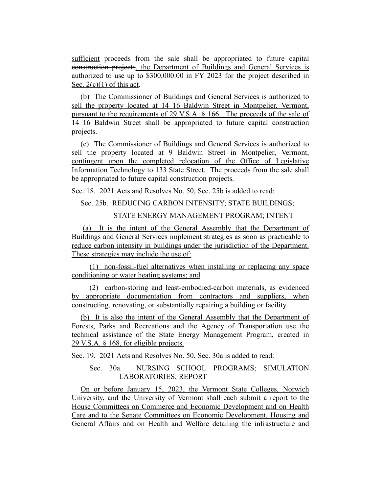sufficient proceeds from the sale shall be appropriated to future capital construction projects, the Department of Buildings and General Services is authorized to use up to \$300,000.00 in FY 2023 for the project described in Sec.  $2(c)(1)$  of this act.

(b) The Commissioner of Buildings and General Services is authorized to sell the property located at 14–16 Baldwin Street in Montpelier, Vermont, pursuant to the requirements of 29 V.S.A. § 166. The proceeds of the sale of 14–16 Baldwin Street shall be appropriated to future capital construction projects.

(c) The Commissioner of Buildings and General Services is authorized to sell the property located at 9 Baldwin Street in Montpelier, Vermont, contingent upon the completed relocation of the Office of Legislative Information Technology to 133 State Street. The proceeds from the sale shall be appropriated to future capital construction projects.

Sec. 18. 2021 Acts and Resolves No. 50, Sec. 25b is added to read:

# Sec. 25b. REDUCING CARBON INTENSITY; STATE BUILDINGS;

## STATE ENERGY MANAGEMENT PROGRAM; INTENT

(a) It is the intent of the General Assembly that the Department of Buildings and General Services implement strategies as soon as practicable to reduce carbon intensity in buildings under the jurisdiction of the Department. These strategies may include the use of:

(1) non-fossil-fuel alternatives when installing or replacing any space conditioning or water heating systems; and

(2) carbon-storing and least-embodied-carbon materials, as evidenced by appropriate documentation from contractors and suppliers, when constructing, renovating, or substantially repairing a building or facility.

(b) It is also the intent of the General Assembly that the Department of Forests, Parks and Recreations and the Agency of Transportation use the technical assistance of the State Energy Management Program, created in 29 V.S.A. § 168, for eligible projects.

Sec. 19. 2021 Acts and Resolves No. 50, Sec. 30a is added to read:

# Sec. 30a. NURSING SCHOOL PROGRAMS; SIMULATION LABORATORIES; REPORT

On or before January 15, 2023, the Vermont State Colleges, Norwich University, and the University of Vermont shall each submit a report to the House Committees on Commerce and Economic Development and on Health Care and to the Senate Committees on Economic Development, Housing and General Affairs and on Health and Welfare detailing the infrastructure and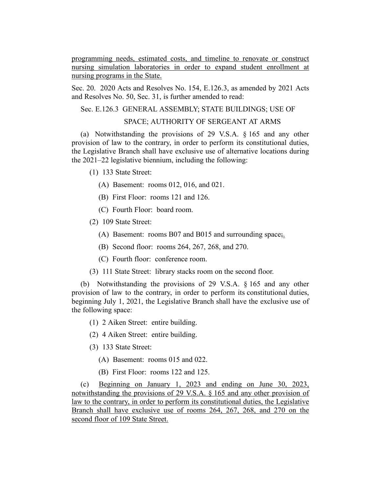programming needs, estimated costs, and timeline to renovate or construct nursing simulation laboratories in order to expand student enrollment at nursing programs in the State.

Sec. 20. 2020 Acts and Resolves No. 154, E.126.3, as amended by 2021 Acts and Resolves No. 50, Sec. 31, is further amended to read:

Sec. E.126.3 GENERAL ASSEMBLY; STATE BUILDINGS; USE OF

## SPACE; AUTHORITY OF SERGEANT AT ARMS

(a) Notwithstanding the provisions of 29 V.S.A. § 165 and any other provision of law to the contrary, in order to perform its constitutional duties, the Legislative Branch shall have exclusive use of alternative locations during the 2021–22 legislative biennium, including the following:

- (1) 133 State Street:
	- (A) Basement: rooms 012, 016, and 021.
	- (B) First Floor: rooms 121 and 126.
	- (C) Fourth Floor: board room.
- (2) 109 State Street:
	- (A) Basement: rooms B07 and B015 and surrounding space;.
	- (B) Second floor: rooms 264, 267, 268, and 270.
	- (C) Fourth floor: conference room.
- (3) 111 State Street: library stacks room on the second floor.

(b) Notwithstanding the provisions of 29 V.S.A. § 165 and any other provision of law to the contrary, in order to perform its constitutional duties, beginning July 1, 2021, the Legislative Branch shall have the exclusive use of the following space:

- (1) 2 Aiken Street: entire building.
- (2) 4 Aiken Street: entire building.
- (3) 133 State Street:
	- (A) Basement: rooms 015 and 022.
	- (B) First Floor: rooms 122 and 125.

(c) Beginning on January 1, 2023 and ending on June 30, 2023, notwithstanding the provisions of 29 V.S.A. § 165 and any other provision of law to the contrary, in order to perform its constitutional duties, the Legislative Branch shall have exclusive use of rooms 264, 267, 268, and 270 on the second floor of 109 State Street.